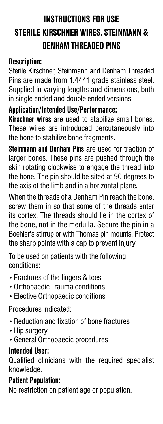# **INSTRUCTIONS FOR USE STERILE KIRSCHNER WIRES, STEINMANN & DENHAM THREADED PINS**

#### **Description:**

Sterile Kirschner, Steinmann and Denham Threaded Pins are made from 1.4441 grade stainless steel. Supplied in varying lengths and dimensions, both in single ended and double ended versions.

## **Application/Intended Use/Performance:**

**Kirschner wires** are used to stabilize small bones. These wires are introduced percutaneously into the bone to stabilize bone fragments.

**Steinmann and Denham Pins** are used for traction of larger bones. These pins are pushed through the skin rotating clockwise to engage the thread into the bone. The pin should be sited at 90 degrees to the axis of the limb and in a horizontal plane.

When the threads of a Denham Pin reach the bone, screw them in so that some of the threads enter its cortex. The threads should lie in the cortex of the bone, not in the medulla. Secure the pin in a Boehler's stirrup or with Thomas pin mounts. Protect the sharp points with a cap to prevent injury.

To be used on patients with the following conditions:

- Fractures of the fingers & toes
- Orthopaedic Trauma conditions
- Elective Orthopaedic conditions

Procedures indicated:

- Reduction and fixation of bone fractures
- Hip surgery
- General Orthopaedic procedures

## **Intended User:**

Qualified clinicians with the required specialist knowledge.

#### **Patient Population:**

No restriction on patient age or population.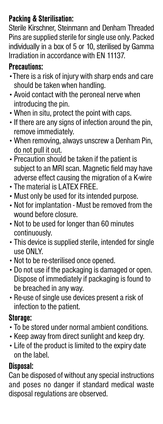# **Packing & Sterilisation:**

Sterile Kirschner, Steinmann and Denham Threaded Pins are supplied sterile for single use only. Packed individually in a box of 5 or 10, sterilised by Gamma Irradiation in accordance with EN 11137.

## **Precautions:**

- •There is a risk of injury with sharp ends and care should be taken when handling.
- Avoid contact with the peroneal nerve when introducing the pin.
- •When in situ, protect the point with caps.
- If there are any signs of infection around the pin, remove immediately.
- •When removing, always unscrew a Denham Pin, do not pull it out.
- Precaution should be taken if the patient is subject to an MRI scan. Magnetic field may have adverse effect causing the migration of a K-wire
- The material is LATEX FREE.
- Must only be used for its intended purpose.
- Not for implantation Must be removed from the wound before closure.
- Not to be used for longer than 60 minutes continuously.
- This device is supplied sterile, intended for single use ONLY.
- Not to be re-sterilised once opened.
- Do not use if the packaging is damaged or open. Dispose of immediately if packaging is found to be breached in any way.
- Re-use of single use devices present a risk of infection to the patient.

# **Storage:**

- To be stored under normal ambient conditions.
- Keep away from direct sunlight and keep dry.
- Life of the product is limited to the expiry date on the label.

# **Disposal:**

Can be disposed of without any special instructions and poses no danger if standard medical waste disposal regulations are observed.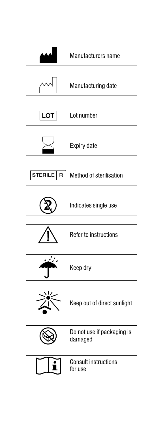